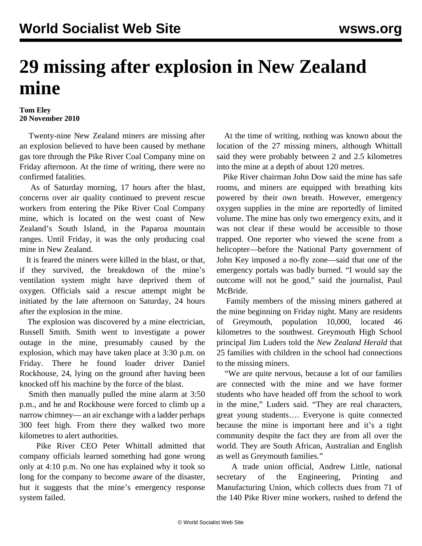## **29 missing after explosion in New Zealand mine**

## **Tom Eley 20 November 2010**

 Twenty-nine New Zealand miners are missing after an explosion believed to have been caused by methane gas tore through the Pike River Coal Company mine on Friday afternoon. At the time of writing, there were no confirmed fatalities.

 As of Saturday morning, 17 hours after the blast, concerns over air quality continued to prevent rescue workers from entering the Pike River Coal Company mine, which is located on the west coast of New Zealand's South Island, in the Paparoa mountain ranges. Until Friday, it was the only producing coal mine in New Zealand.

 It is feared the miners were killed in the blast, or that, if they survived, the breakdown of the mine's ventilation system might have deprived them of oxygen. Officials said a rescue attempt might be initiated by the late afternoon on Saturday, 24 hours after the explosion in the mine.

 The explosion was discovered by a mine electrician, Russell Smith. Smith went to investigate a power outage in the mine, presumably caused by the explosion, which may have taken place at 3:30 p.m. on Friday. There he found loader driver Daniel Rockhouse, 24, lying on the ground after having been knocked off his machine by the force of the blast.

 Smith then manually pulled the mine alarm at 3:50 p.m., and he and Rockhouse were forced to climb up a narrow chimney— an air exchange with a ladder perhaps 300 feet high. From there they walked two more kilometres to alert authorities.

 Pike River CEO Peter Whittall admitted that company officials learned something had gone wrong only at 4:10 p.m. No one has explained why it took so long for the company to become aware of the disaster, but it suggests that the mine's emergency response system failed.

 At the time of writing, nothing was known about the location of the 27 missing miners, although Whittall said they were probably between 2 and 2.5 kilometres into the mine at a depth of about 120 metres.

 Pike River chairman John Dow said the mine has safe rooms, and miners are equipped with breathing kits powered by their own breath. However, emergency oxygen supplies in the mine are reportedly of limited volume. The mine has only two emergency exits, and it was not clear if these would be accessible to those trapped. One reporter who viewed the scene from a helicopter—before the National Party government of John Key imposed a no-fly zone—said that one of the emergency portals was badly burned. "I would say the outcome will not be good," said the journalist, Paul McBride.

 Family members of the missing miners gathered at the mine beginning on Friday night. Many are residents of Greymouth, population 10,000, located 46 kilometres to the southwest. Greymouth High School principal Jim Luders told the *New Zealand Herald* that 25 families with children in the school had connections to the missing miners.

 "We are quite nervous, because a lot of our families are connected with the mine and we have former students who have headed off from the school to work in the mine," Luders said. "They are real characters, great young students…. Everyone is quite connected because the mine is important here and it's a tight community despite the fact they are from all over the world. They are South African, Australian and English as well as Greymouth families."

 A trade union official, Andrew Little, national secretary of the Engineering, Printing and Manufacturing Union, which collects dues from 71 of the 140 Pike River mine workers, rushed to defend the